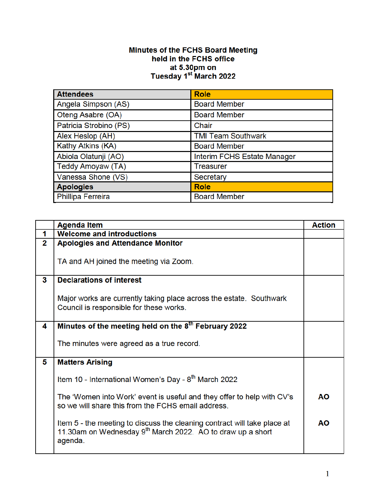## **Minutes of the FCHS Board Meeting<br>held in the FCHS office** at 5.30pm on<br>Tuesday 1<sup>st</sup> March 2022

| <b>Attendees</b>       | <b>Role</b>                 |
|------------------------|-----------------------------|
| Angela Simpson (AS)    | <b>Board Member</b>         |
| Oteng Asabre (OA)      | <b>Board Member</b>         |
| Patricia Strobino (PS) | Chair                       |
| Alex Heslop (AH)       | <b>TMI Team Southwark</b>   |
| Kathy Atkins (KA)      | <b>Board Member</b>         |
| Abiola Olatunji (AO)   | Interim FCHS Estate Manager |
| Teddy Amoyaw (TA)      | <b>Treasurer</b>            |
| Vanessa Shone (VS)     | Secretary                   |
| <b>Apologies</b>       | <b>Role</b>                 |
| Phillipa Ferreira      | <b>Board Member</b>         |

|                | <b>Agenda Item</b>                                                                                                                                            | <b>Action</b> |
|----------------|---------------------------------------------------------------------------------------------------------------------------------------------------------------|---------------|
| 1              | <b>Welcome and introductions</b>                                                                                                                              |               |
| $\overline{2}$ | <b>Apologies and Attendance Monitor</b>                                                                                                                       |               |
|                | TA and AH joined the meeting via Zoom.                                                                                                                        |               |
| 3              | <b>Declarations of interest</b>                                                                                                                               |               |
|                | Major works are currently taking place across the estate. Southwark<br>Council is responsible for these works.                                                |               |
| 4              | Minutes of the meeting held on the 8 <sup>th</sup> February 2022                                                                                              |               |
|                | The minutes were agreed as a true record.                                                                                                                     |               |
| 5              | <b>Matters Arising</b>                                                                                                                                        |               |
|                | Item 10 - International Women's Day - 8 <sup>th</sup> March 2022                                                                                              |               |
|                | The 'Women into Work' event is useful and they offer to help with CV's<br>so we will share this from the FCHS email address.                                  | AΟ            |
|                | Item 5 - the meeting to discuss the cleaning contract will take place at<br>11.30am on Wednesday 9 <sup>th</sup> March 2022. AO to draw up a short<br>agenda. | AΟ            |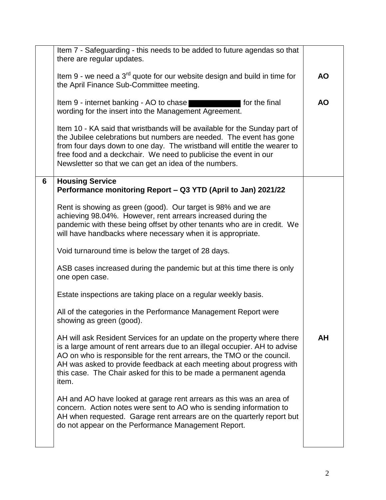|   | Item 7 - Safeguarding - this needs to be added to future agendas so that<br>there are regular updates.                                                                                                                                                                                                                                                                                |           |
|---|---------------------------------------------------------------------------------------------------------------------------------------------------------------------------------------------------------------------------------------------------------------------------------------------------------------------------------------------------------------------------------------|-----------|
|   | Item 9 - we need a $3rd$ quote for our website design and build in time for<br>the April Finance Sub-Committee meeting.                                                                                                                                                                                                                                                               | <b>AO</b> |
|   | Item 9 - internet banking - AO to chase<br>for the final<br>wording for the insert into the Management Agreement.                                                                                                                                                                                                                                                                     | <b>AO</b> |
|   | Item 10 - KA said that wristbands will be available for the Sunday part of<br>the Jubilee celebrations but numbers are needed. The event has gone<br>from four days down to one day. The wristband will entitle the wearer to<br>free food and a deckchair. We need to publicise the event in our<br>Newsletter so that we can get an idea of the numbers.                            |           |
| 6 | <b>Housing Service</b><br>Performance monitoring Report - Q3 YTD (April to Jan) 2021/22                                                                                                                                                                                                                                                                                               |           |
|   | Rent is showing as green (good). Our target is 98% and we are<br>achieving 98.04%. However, rent arrears increased during the<br>pandemic with these being offset by other tenants who are in credit. We<br>will have handbacks where necessary when it is appropriate.                                                                                                               |           |
|   | Void turnaround time is below the target of 28 days.                                                                                                                                                                                                                                                                                                                                  |           |
|   | ASB cases increased during the pandemic but at this time there is only<br>one open case.                                                                                                                                                                                                                                                                                              |           |
|   | Estate inspections are taking place on a regular weekly basis.                                                                                                                                                                                                                                                                                                                        |           |
|   | All of the categories in the Performance Management Report were<br>showing as green (good).                                                                                                                                                                                                                                                                                           |           |
|   | AH will ask Resident Services for an update on the property where there<br>is a large amount of rent arrears due to an illegal occupier. AH to advise<br>AO on who is responsible for the rent arrears, the TMO or the council.<br>AH was asked to provide feedback at each meeting about progress with<br>this case. The Chair asked for this to be made a permanent agenda<br>item. | AH        |
|   | AH and AO have looked at garage rent arrears as this was an area of<br>concern. Action notes were sent to AO who is sending information to<br>AH when requested. Garage rent arrears are on the quarterly report but<br>do not appear on the Performance Management Report.                                                                                                           |           |
|   |                                                                                                                                                                                                                                                                                                                                                                                       |           |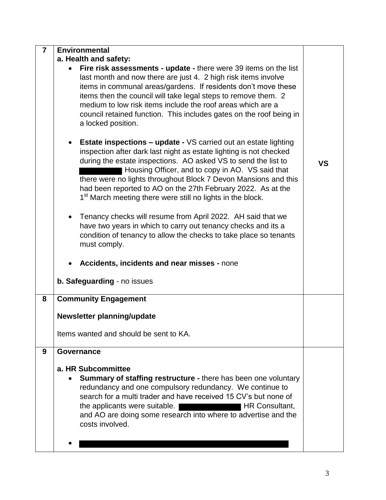| $\overline{7}$ | <b>Environmental</b>                                                                                                                                                                                                                                                                                                                                                                                                                                                                         |    |
|----------------|----------------------------------------------------------------------------------------------------------------------------------------------------------------------------------------------------------------------------------------------------------------------------------------------------------------------------------------------------------------------------------------------------------------------------------------------------------------------------------------------|----|
|                | a. Health and safety:                                                                                                                                                                                                                                                                                                                                                                                                                                                                        |    |
|                | Fire risk assessments - update - there were 39 items on the list<br>last month and now there are just 4. 2 high risk items involve<br>items in communal areas/gardens. If residents don't move these<br>items then the council will take legal steps to remove them. 2<br>medium to low risk items include the roof areas which are a<br>council retained function. This includes gates on the roof being in<br>a locked position.                                                           |    |
|                | <b>Estate inspections – update - VS carried out an estate lighting</b><br>$\bullet$<br>inspection after dark last night as estate lighting is not checked<br>during the estate inspections. AO asked VS to send the list to<br>Housing Officer, and to copy in AO. VS said that<br>there were no lights throughout Block 7 Devon Mansions and this<br>had been reported to AO on the 27th February 2022. As at the<br>1 <sup>st</sup> March meeting there were still no lights in the block. | VS |
|                | Tenancy checks will resume from April 2022. AH said that we<br>$\bullet$<br>have two years in which to carry out tenancy checks and its a<br>condition of tenancy to allow the checks to take place so tenants<br>must comply.                                                                                                                                                                                                                                                               |    |
|                | Accidents, incidents and near misses - none                                                                                                                                                                                                                                                                                                                                                                                                                                                  |    |
|                | b. Safeguarding - no issues                                                                                                                                                                                                                                                                                                                                                                                                                                                                  |    |
| 8              | <b>Community Engagement</b>                                                                                                                                                                                                                                                                                                                                                                                                                                                                  |    |
|                | Newsletter planning/update                                                                                                                                                                                                                                                                                                                                                                                                                                                                   |    |
|                | Items wanted and should be sent to KA.                                                                                                                                                                                                                                                                                                                                                                                                                                                       |    |
| 9              | Governance                                                                                                                                                                                                                                                                                                                                                                                                                                                                                   |    |
|                | a. HR Subcommittee<br><b>Summary of staffing restructure - there has been one voluntary</b><br>redundancy and one compulsory redundancy. We continue to<br>search for a multi trader and have received 15 CV's but none of<br>the applicants were suitable.<br>HR Consultant,<br>and AO are doing some research into where to advertise and the<br>costs involved.                                                                                                                           |    |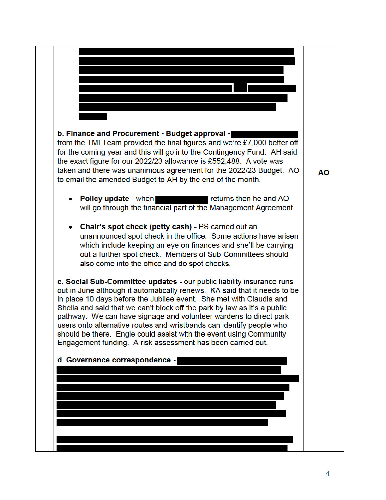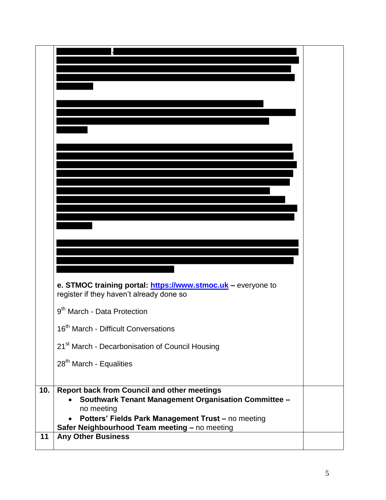|     | e. STMOC training portal: https://www.stmoc.uk - everyone to<br>register if they haven't already done so          |  |
|-----|-------------------------------------------------------------------------------------------------------------------|--|
|     | 9 <sup>th</sup> March - Data Protection                                                                           |  |
|     | 16 <sup>th</sup> March - Difficult Conversations                                                                  |  |
|     | 21 <sup>st</sup> March - Decarbonisation of Council Housing                                                       |  |
|     | 28 <sup>th</sup> March - Equalities                                                                               |  |
|     |                                                                                                                   |  |
| 10. | <b>Report back from Council and other meetings</b><br><b>Southwark Tenant Management Organisation Committee -</b> |  |
|     | no meeting<br>Potters' Fields Park Management Trust - no meeting                                                  |  |
|     | Safer Neighbourhood Team meeting - no meeting                                                                     |  |
| 11  | <b>Any Other Business</b>                                                                                         |  |